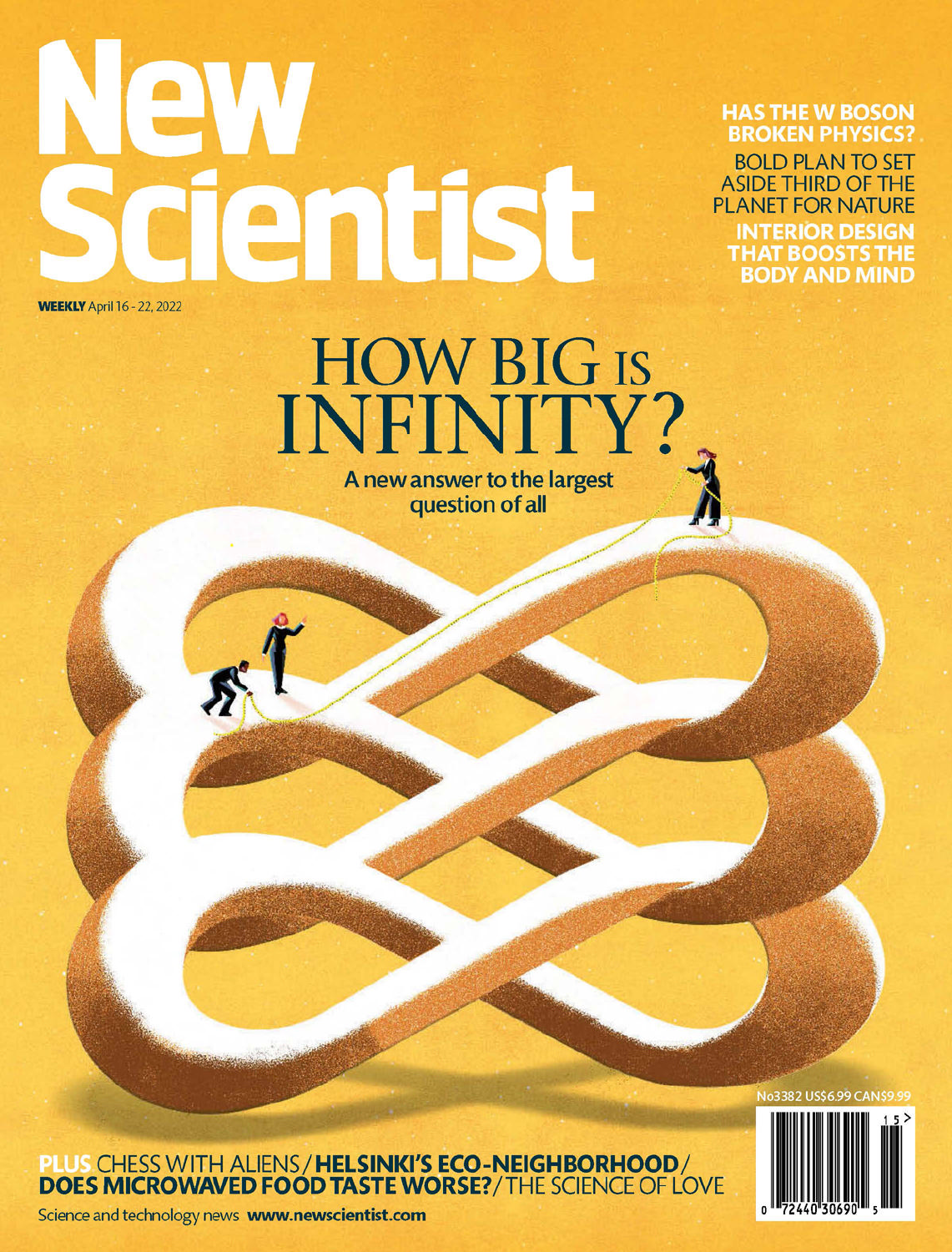# QV dentist **WEEKLY** April 16 - 22, 2022

**HAS THE W BOSON BROKEN PHYSICS? BOLD PLAN TO SET ASIDE THIRD OF THE** 

**PLANET FOR NATURE INTERIOR DESIGN** THAT BOOSTS THE BODY AND MIND

## HOW BIG IS<br>INFINITY? A new answer to the largest question of all

PLUS CHESS WITH ALIENS / HELSINKI'S ECO-NEIGHBORHOOD /<br>DOES MICROWAVED FOOD TASTE WORSE? / THE SCIENCE OF LOVE



No3382 US\$6.99 CANS

Science and technology news www.newscientist.com